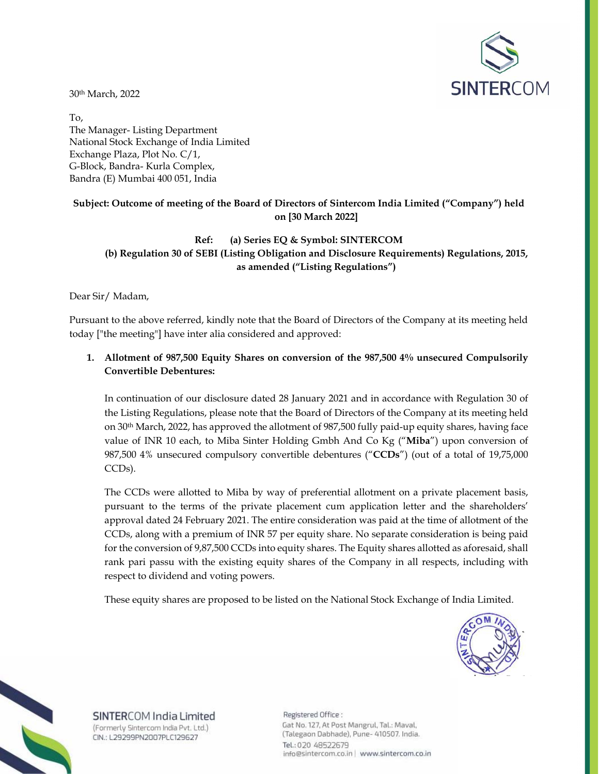

30th March, 2022

To, The Manager- Listing Department National Stock Exchange of India Limited Exchange Plaza, Plot No. C/1, G-Block, Bandra- Kurla Complex, Bandra (E) Mumbai 400 051, India

## **Subject: Outcome of meeting of the Board of Directors of Sintercom India Limited ("Company") held on [30 March 2022]**

## **Ref: (a) Series EQ & Symbol: SINTERCOM (b) Regulation 30 of SEBI (Listing Obligation and Disclosure Requirements) Regulations, 2015, as amended ("Listing Regulations")**

Dear Sir/ Madam,

Pursuant to the above referred, kindly note that the Board of Directors of the Company at its meeting held today ["the meeting"] have inter alia considered and approved:

## **1. Allotment of 987,500 Equity Shares on conversion of the 987,500 4% unsecured Compulsorily Convertible Debentures:**

In continuation of our disclosure dated 28 January 2021 and in accordance with Regulation 30 of the Listing Regulations, please note that the Board of Directors of the Company at its meeting held on 30th March, 2022, has approved the allotment of 987,500 fully paid-up equity shares, having face value of INR 10 each, to Miba Sinter Holding Gmbh And Co Kg ("**Miba**") upon conversion of 987,500 4% unsecured compulsory convertible debentures ("**CCDs**") (out of a total of 19,75,000 CCDs).

The CCDs were allotted to Miba by way of preferential allotment on a private placement basis, pursuant to the terms of the private placement cum application letter and the shareholders' approval dated 24 February 2021. The entire consideration was paid at the time of allotment of the CCDs, along with a premium of INR 57 per equity share. No separate consideration is being paid for the conversion of 9,87,500 CCDs into equity shares. The Equity shares allotted as aforesaid, shall rank pari passu with the existing equity shares of the Company in all respects, including with respect to dividend and voting powers.

These equity shares are proposed to be listed on the National Stock Exchange of India Limited.





SINTERCOM India Limited (Formerly Sintercom India Pvt. Ltd.) CIN.: L29299PN2007PLC129627

Registered Office : Gat No. 127, At Post Mangrul, Tal.: Maval, (Talegaon Dabhade), Pune- 410507. India. Tel.: 020 48522679 info@sintercom.co.in | www.sintercom.co.in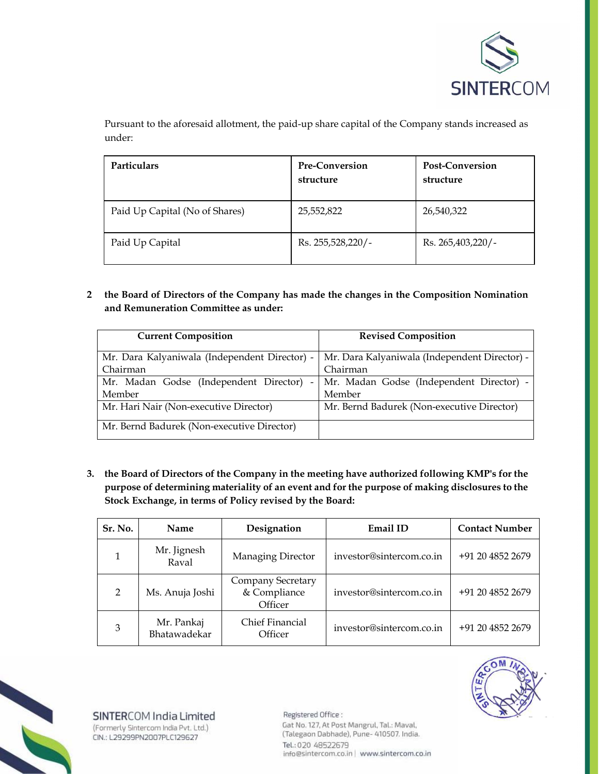

Pursuant to the aforesaid allotment, the paid-up share capital of the Company stands increased as under:

| <b>Particulars</b>             | <b>Pre-Conversion</b><br>structure | <b>Post-Conversion</b><br>structure |
|--------------------------------|------------------------------------|-------------------------------------|
| Paid Up Capital (No of Shares) | 25,552,822                         | 26,540,322                          |
| Paid Up Capital                | Rs. 255,528,220/-                  | Rs. 265,403,220/-                   |

**2 the Board of Directors of the Company has made the changes in the Composition Nomination and Remuneration Committee as under:** 

| <b>Current Composition</b>                                         | <b>Revised Composition</b>                    |
|--------------------------------------------------------------------|-----------------------------------------------|
| Mr. Dara Kalyaniwala (Independent Director) -                      | Mr. Dara Kalyaniwala (Independent Director) - |
| Chairman                                                           | Chairman                                      |
| Mr. Madan Godse (Independent Director)<br>$\overline{\phantom{a}}$ | Mr. Madan Godse (Independent Director) -      |
| Member                                                             | Member                                        |
| Mr. Hari Nair (Non-executive Director)                             | Mr. Bernd Badurek (Non-executive Director)    |
| Mr. Bernd Badurek (Non-executive Director)                         |                                               |

**3. the Board of Directors of the Company in the meeting have authorized following KMP's for the purpose of determining materiality of an event and for the purpose of making disclosures to the Stock Exchange, in terms of Policy revised by the Board:** 

| Sr. No.        | Name                       | Designation                                  | Email ID                 | <b>Contact Number</b> |
|----------------|----------------------------|----------------------------------------------|--------------------------|-----------------------|
|                | Mr. Jignesh<br>Raval       | Managing Director                            | investor@sintercom.co.in | +91 20 4852 2679      |
| $\overline{2}$ | Ms. Anuja Joshi            | Company Secretary<br>& Compliance<br>Officer | investor@sintercom.co.in | +91 20 4852 2679      |
| 3              | Mr. Pankaj<br>Bhatawadekar | Chief Financial<br>Officer                   | investor@sintercom.co.in | +91 20 4852 2679      |



SINTERCOM India Limited (Formerly Sintercom India Pvt. Ltd.) CIN.: L29299PN2007PLC129627

Registered Office: Gat No. 127, At Post Mangrul, Tal.: Maval, (Talegaon Dabhade), Pune- 410507. India. Tel.: 020 48522679 info@sintercom.co.in | www.sintercom.co.in